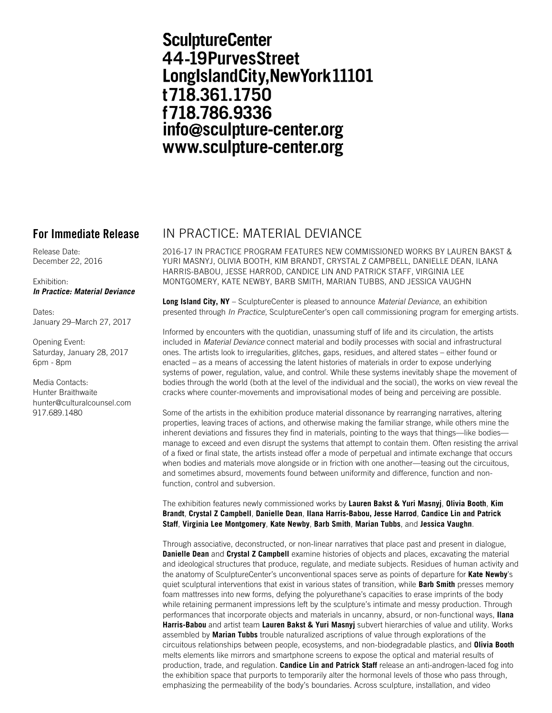# **SculptureCenter** 44-19PurvesStreet LongIslandCity, New York 11101 t718.361.1750 f718.786.9336 info@sculpture-center.org www.sculpture-center.org

Release Date: December 22, 2016

Exhibition: *In Practice: Material Deviance*

Dates: January 29–March 27, 2017

Opening Event: Saturday, January 28, 2017 6pm - 8pm

Media Contacts: Hunter Braithwaite hunter@culturalcounsel.com 917.689.1480

## **For Immediate Release** IN PRACTICE: MATERIAL DEVIANCE

2016-17 IN PRACTICE PROGRAM FEATURES NEW COMMISSIONED WORKS BY LAUREN BAKST & YURI MASNYJ, OLIVIA BOOTH, KIM BRANDT, CRYSTAL Z CAMPBELL, DANIELLE DEAN, ILANA HARRIS-BABOU, JESSE HARROD, CANDICE LIN AND PATRICK STAFF, VIRGINIA LEE MONTGOMERY, KATE NEWBY, BARB SMITH, MARIAN TUBBS, AND JESSICA VAUGHN

**Long Island City, NY** – SculptureCenter is pleased to announce *Material Deviance*, an exhibition presented through *In Practice*, SculptureCenter's open call commissioning program for emerging artists.

Informed by encounters with the quotidian, unassuming stuff of life and its circulation, the artists included in *Material Deviance* connect material and bodily processes with social and infrastructural ones. The artists look to irregularities, glitches, gaps, residues, and altered states – either found or enacted – as a means of accessing the latent histories of materials in order to expose underlying systems of power, regulation, value, and control. While these systems inevitably shape the movement of bodies through the world (both at the level of the individual and the social), the works on view reveal the cracks where counter-movements and improvisational modes of being and perceiving are possible.

Some of the artists in the exhibition produce material dissonance by rearranging narratives, altering properties, leaving traces of actions, and otherwise making the familiar strange, while others mine the inherent deviations and fissures they find in materials, pointing to the ways that things—like bodies manage to exceed and even disrupt the systems that attempt to contain them. Often resisting the arrival of a fixed or final state, the artists instead offer a mode of perpetual and intimate exchange that occurs when bodies and materials move alongside or in friction with one another—teasing out the circuitous, and sometimes absurd, movements found between uniformity and difference, function and nonfunction, control and subversion.

The exhibition features newly commissioned works by **Lauren Bakst & Yuri Masnyj**, **Olivia Booth**, **Kim Brandt**, **Crystal Z Campbell**, **Danielle Dean**, **Ilana Harris-Babou, Jesse Harrod**, **Candice Lin and Patrick Staff**, **Virginia Lee Montgomery**, **Kate Newby**, **Barb Smith**, **Marian Tubbs**, and **Jessica Vaughn**.

Through associative, deconstructed, or non-linear narratives that place past and present in dialogue, **Danielle Dean** and **Crystal Z Campbell** examine histories of objects and places, excavating the material and ideological structures that produce, regulate, and mediate subjects. Residues of human activity and the anatomy of SculptureCenter's unconventional spaces serve as points of departure for **Kate Newby**'s quiet sculptural interventions that exist in various states of transition, while **Barb Smith** presses memory foam mattresses into new forms, defying the polyurethane's capacities to erase imprints of the body while retaining permanent impressions left by the sculpture's intimate and messy production. Through performances that incorporate objects and materials in uncanny, absurd, or non-functional ways, **Ilana Harris-Babou** and artist team **Lauren Bakst & Yuri Masnyj** subvert hierarchies of value and utility. Works assembled by **Marian Tubbs** trouble naturalized ascriptions of value through explorations of the circuitous relationships between people, ecosystems, and non-biodegradable plastics, and **Olivia Booth** melts elements like mirrors and smartphone screens to expose the optical and material results of production, trade, and regulation. **Candice Lin and Patrick Staff** release an anti-androgen-laced fog into the exhibition space that purports to temporarily alter the hormonal levels of those who pass through, emphasizing the permeability of the body's boundaries. Across sculpture, installation, and video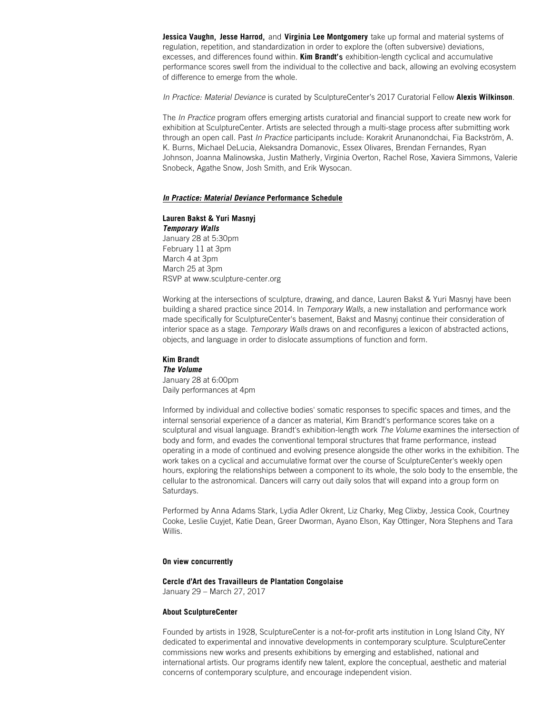**Jessica Vaughn**, **Jesse Harrod**, and **Virginia Lee Montgomery** take up formal and material systems of regulation, repetition, and standardization in order to explore the (often subversive) deviations, excesses, and differences found within. **Kim Brandt**'s exhibition-length cyclical and accumulative performance scores swell from the individual to the collective and back, allowing an evolving ecosystem of difference to emerge from the whole.

*In Practice: Material Deviance* is curated by SculptureCenter's 2017 Curatorial Fellow **Alexis Wilkinson**.

The *In Practice* program offers emerging artists curatorial and financial support to create new work for exhibition at SculptureCenter. Artists are selected through a multi-stage process after submitting work through an open call. Past *In Practice* participants include: Korakrit Arunanondchai, Fia Backström, A. K. Burns, Michael DeLucia, Aleksandra Domanovic, Essex Olivares, Brendan Fernandes, Ryan Johnson, Joanna Malinowska, Justin Matherly, Virginia Overton, Rachel Rose, Xaviera Simmons, Valerie Snobeck, Agathe Snow, Josh Smith, and Erik Wysocan.

### *In Practice: Material Deviance* **Performance Schedule**

**Lauren Bakst & Yuri Masnyj** *Temporary Walls* January 28 at 5:30pm February 11 at 3pm March 4 at 3pm March 25 at 3pm RSVP at www.sculpture-center.org

Working at the intersections of sculpture, drawing, and dance, Lauren Bakst & Yuri Masnyj have been building a shared practice since 2014. In *Temporary Walls*, a new installation and performance work made specifically for SculptureCenter's basement, Bakst and Masnyj continue their consideration of interior space as a stage. *Temporary Walls* draws on and reconfigures a lexicon of abstracted actions, objects, and language in order to dislocate assumptions of function and form.

**Kim Brandt** *The Volume* January 28 at 6:00pm Daily performances at 4pm

Informed by individual and collective bodies' somatic responses to specific spaces and times, and the internal sensorial experience of a dancer as material, Kim Brandt's performance scores take on a sculptural and visual language. Brandt's exhibition-length work *The Volume* examines the intersection of body and form, and evades the conventional temporal structures that frame performance, instead operating in a mode of continued and evolving presence alongside the other works in the exhibition. The work takes on a cyclical and accumulative format over the course of SculptureCenter's weekly open hours, exploring the relationships between a component to its whole, the solo body to the ensemble, the cellular to the astronomical. Dancers will carry out daily solos that will expand into a group form on Saturdays.

Performed by Anna Adams Stark, Lydia Adler Okrent, Liz Charky, Meg Clixby, Jessica Cook, Courtney Cooke, Leslie Cuyjet, Katie Dean, Greer Dworman, Ayano Elson, Kay Ottinger, Nora Stephens and Tara Willis.

#### **On view concurrently**

#### **Cercle d'Art des Travailleurs de Plantation Congolaise**

January 29 – March 27, 2017

### **About SculptureCenter**

Founded by artists in 1928, SculptureCenter is a not-for-profit arts institution in Long Island City, NY dedicated to experimental and innovative developments in contemporary sculpture. SculptureCenter commissions new works and presents exhibitions by emerging and established, national and international artists. Our programs identify new talent, explore the conceptual, aesthetic and material concerns of contemporary sculpture, and encourage independent vision.